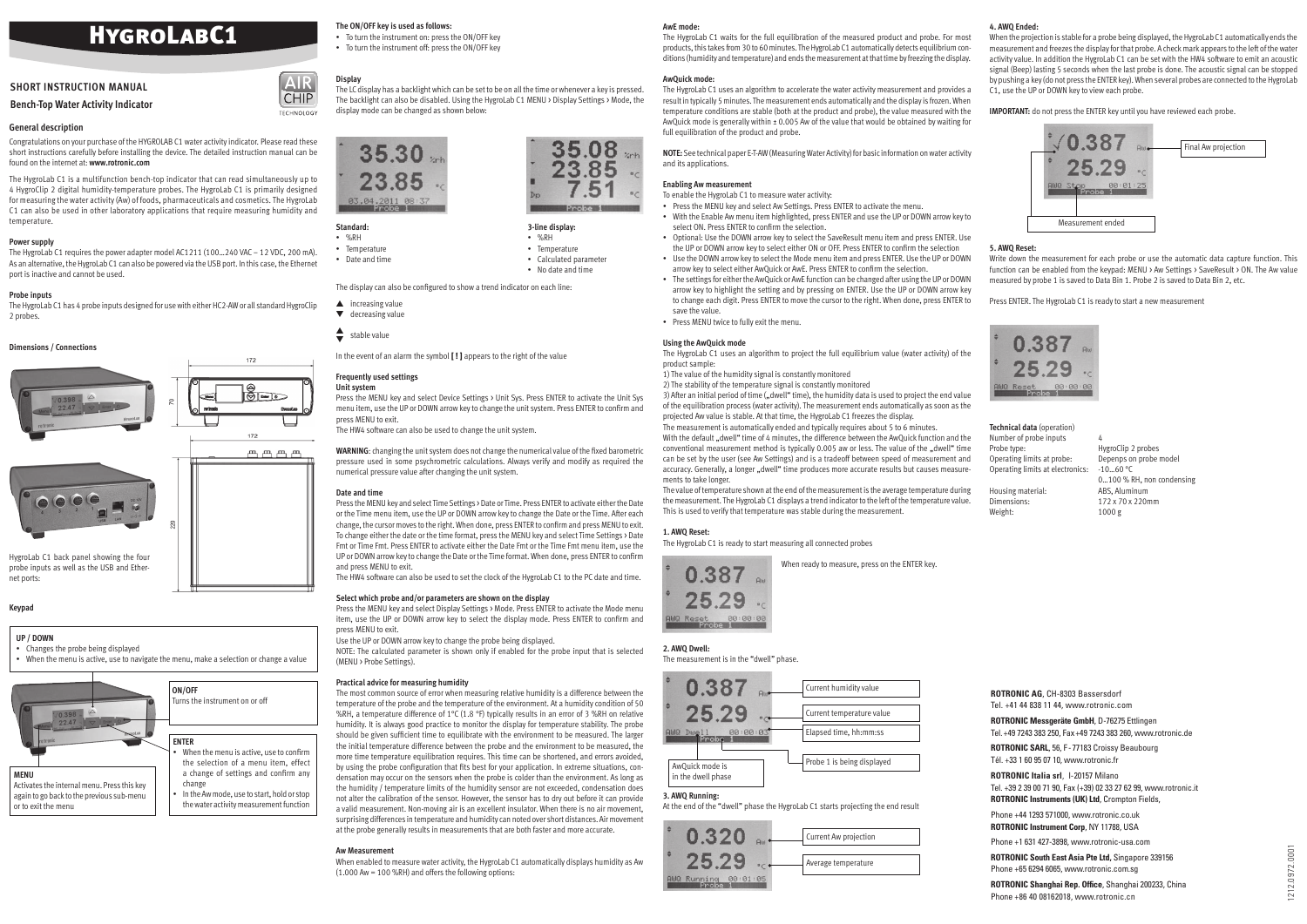The HygroLab C1 uses an algorithm to accelerate the water activity measurement and provides a result in typically 5 minutes. The measurement ends automatically and the display is frozen. When temperature conditions are stable (both at the product and probe), the value measured with the AwQuick mode is generally within  $\pm 0.005$  Aw of the value that would be obtained by waiting for full equilibration of the product and probe.

The HygroLab C1 waits for the full equilibration of the measured product and probe. For most products, this takes from 30 to 60 minutes. The HygroLab C1 automatically detects equilibrium conditions (humidity and temperature) and ends the measurement at that time by freezing the display.

• Press the MENU key and select Aw Settings. Press ENTER to activate the menu. • With the Enable Aw menu item highlighted, press ENTER and use the UP or DOWN arrow key to select ON. Press ENTER to confirm the selection.

• Optional: Use the DOWN arrow key to select the SaveResult menu item and press ENTER. Use the UP or DOWN arrow key to select either ON or OFF. Press ENTER to confirm the selection • Use the DOWN arrow key to select the Mode menu item and press ENTER. Use the UP or DOWN

#### **AwQuick mode:**

- 
- 
- No date and time
- 
- arrow key to select either AwQuick or AwE. Press ENTER to confirm the selection. • The settings for either the AwQuick or AwE function can be changed after using the UP or DOWN
	- arrow key to highlight the setting and by pressing on ENTER. Use the UP or DOWN arrow key to change each digit. Press ENTER to move the cursor to the right. When done, press ENTER to save the value.
- • Press MENU twice to fully exit the menu.

**NOTE:** See technical paper E-T-AW (Measuring Water Activity) for basic information on water activity and its applications.

3) After an initial period of time ("dwell" time), the humidity data is used to project the end value of the equilibration process (water activity). The measurement ends automatically as soon as the projected Aw value is stable. At that time, the HygroLab C1 freezes the display.

## **Enabling Aw measurement**

To enable the HygroLab C1 to measure water activity:

With the default "dwell" time of 4 minutes, the difference between the AwQuick function and the conventional measurement method is typically 0.005 aw or less. The value of the "dwell" time can be set by the user (see Aw Settings) and is a tradeoff between speed of measurement and accuracy. Generally, a longer "dwell" time produces more accurate results but causes measurements to take longer.

## **Using the AwQuick mode**

0…100 % RH, non condensing Housing material: ABS, Aluminum Dimensions:  $172 \times 70 \times 220$ mm<br>Weight:  $1000$  g

The HygroLab C1 uses an algorithm to project the full equilibrium value (water activity) of the product sample:

1) The value of the humidity signal is constantly monitored

2) The stability of the temperature signal is constantly monitored

The measurement is automatically ended and typically requires about 5 to 6 minutes.

- • Changes the probe being displayed
- When the menu is active, use to navigate the menu, make a selection or change a value

In the Aw mode, use to start, hold or stop the water activity measurement function

 $\bullet$  %RH • Temperature

- Date and time
- 

The display can also be configured to show a trend indicator on each line:

#### ▲ increasing value

The value of temperature shown at the end of the measurement is the average temperature during the measurement. The HygroLab C1 displays a trend indicator to the left of the temperature value. This is used to verify that temperature was stable during the measurement.

## **1. AWQ Reset:**

The HygroLab C1 is ready to start measuring all connected probes

When ready to measure, press on the ENTER key.



## **2. AWQ Dwell:**

The measurement is in the "dwell" phase.

## **3. AWQ Running:**

At the end of the "dwell" phase the HygroLab C1 starts projecting the end result

 $0.320$  av Current Aw projection Average temperature0 Running 00:01:0



WARNING: changing the unit system does not change the numerical value of the fixed barometric pressure used in some psychrometric calculations. Always verify and modify as required the numerical pressure value after changing the unit system.

# **HYGROLABC1** The ON/OFF key is used as follows:<br>
The INVGROLABC1 The HygroL

## **Short instruction manual**

## **4. AWQ Ended:**

Press the MENU key and select Time Settings > Date or Time. Press ENTER to activate either the Date or the Time menu item, use the UP or DOWN arrow keyto change the Date or the Time. After each change, the cursormoves to the right.When done, press ENTER to confirm and press MENU to exit. To change either the date or the time format, press the MENU key and select Time Settings > Date Fmt or Time Fmt. Press ENTER to activate either the Date Fmt or the Time Fmt menu item, use the UP or DOWN arrow keyto change the Date or the Time format.When done, press ENTER to confirm and press MENU to exit.

When the projection is stable for a probe being displayed, the HygroLab C1 automatically ends the measurement and freezes the display for that probe. A check mark appears to the left of the water activity value. In addition the HygroLab C1 can be set with the HW4 software to emit an acoustic signal (Beep) lasting 5 seconds when the last probe is done. The acoustic signal can be stopped by pushing a key(do not press the ENTER key).When several probes are connected to the HygroLab C1, use the UP or DOWN key to view each probe.

**IMPORTANT:** do not press the ENTER key until you have reviewed each probe.

## **5. AWQ Reset:**

Write down the measurement for each probe or use the automatic data capture function. This function can be enabled from the keypad: MENU > Aw Settings > SaveResult > ON. The Aw value measured by probe 1 is saved to Data Bin 1. Probe 2 is saved to Data Bin 2, etc.

Press ENTER. The HygroLab C1 is ready to start a new measurement



**Technical data** (operation) Number of probe inputs Probe type: HygroClip 2 probes Operating limits at probe: Depenps on probe model Operating limits at electronics: -10…60 °C

Weight:

## **General description**

Congratulations on your purchase of the HYGROLAB C1 water activityindicator. Please read these short instructions carefully before installing the device. The detailed instruction manual can be found on the internet at: **www.rotronic.com**

The HygroLab C1 is a multifunction bench-top indicator that can read simultaneously up to 4 HygroClip 2 digital humidity-temperature probes. The HygroLab C1 is primarily designed for measuring the water activity (Aw) of foods, pharmaceuticals and cosmetics. The HygroLab C1 can also be used in other laboratory applications that require measuring humidity and temperature.

## **Power supply**

The HygroLab C1 requires the power adapter model AC1211 (100…240 VAC – 12 VDC, 200 mA). As an alternative, the HygroLab C1 can also be powered via the USB port. In this case, the Ethernet port is inactive and cannot be used.

## **Probe inputs**

The HygroLab C1 has 4 probe inputs designed for use with either HC2-AW or all standard HygroClip 2 probes.

172

 $172$ 

 $\frac{10}{\text{O km/s}}$ 

ጫ ጫ ጫ ጫ

## **Dimensions / Connections**





### **The ON/OFF key is used as follows:**

- • To turn the instrument on: press the ON/OFF key
- • To turn the instrument off: press the ON/OFF key

## **Display**

**CHIP TECHNOLOGY**  The LC display has a backlight which can be set to be on all the time or whenever a key is pressed. The backlight can also be disabled. Using the HygroLab C1 MENU > Display Settings > Mode, the display mode can be changed as shown below:



HygroLab C1 back panel showing the four probe inputs as well as the USB and Ethernet ports:

## **Keypad**

## **UP / DOWN**



or to exit the menu

### **Standard:**



• Temperature



▼ decreasing value

In the event of an alarm the symbol [ ! ] appears to the right of the value

## **Frequently used settings**

## **Unit system**

Press the MENU key and select Device Settings > Unit Sys. Press ENTER to activate the Unit Sys menu item, use the UP or DOWN arrow keyto change the unit system. Press ENTER to confirm and press MENU to exit.

The HW4 software can also be used to change the unit system.

## **Date and time**

The HW4 software can also be used to set the clock of the HygroLab C1 to the PC date and time.

#### **Select which probe and/or parameters are shown on the display**

Press the MENU key and select Display Settings > Mode. Press ENTER to activate the Mode menu item, use the UP or DOWN arrow key to select the display mode. Press ENTER to confirm and press MENU to exit.

Use the UP or DOWN arrow key to change the probe being displayed.

#### stable value ▲ ▼

NOTE: The calculated parameter is shown only if enabled for the probe input that is selected (MENU > Probe Settings).

#### **Practical advice for measuring humidity**

The most common source of error when measuring relative humidity is a difference between the temperature of the probe and the temperature of the environment. At a humidity condition of 50 %RH, a temperature difference of 1°C (1.8 °F) typically results in an error of 3 %RH on relative humidity. It is always good practice to monitor the display for temperature stability. The probe should be given sufficient time to equilibrate with the environment to be measured. The larger the initial temperature difference between the probe and the environment to be measured, the more time temperature equilibration requires. This time can be shortened, and errors avoided, by using the probe configuration that fits best for your application. In extreme situations, condensation may occur on the sensors when the probe is colder than the environment. As long as the humidity / temperature limits of the humidity sensor are not exceeded, condensation does not alter the calibration of the sensor. However, the sensor has to dry out before it can provide a valid measurement. Non-moving air is an excellent insulator. When there is no air movement, surprising differences in temperature and humidity can noted over short distances. Air movement at the probe generally results in measurements that are both faster and more accurate.

#### **Aw Measurement**

When enabled to measure water activity, the HygroLab C1 automatically displays humidity as Aw (1.000 Aw = 100 %RH) and offers the following options:



## **Bench-Top Water Activity Indicator**

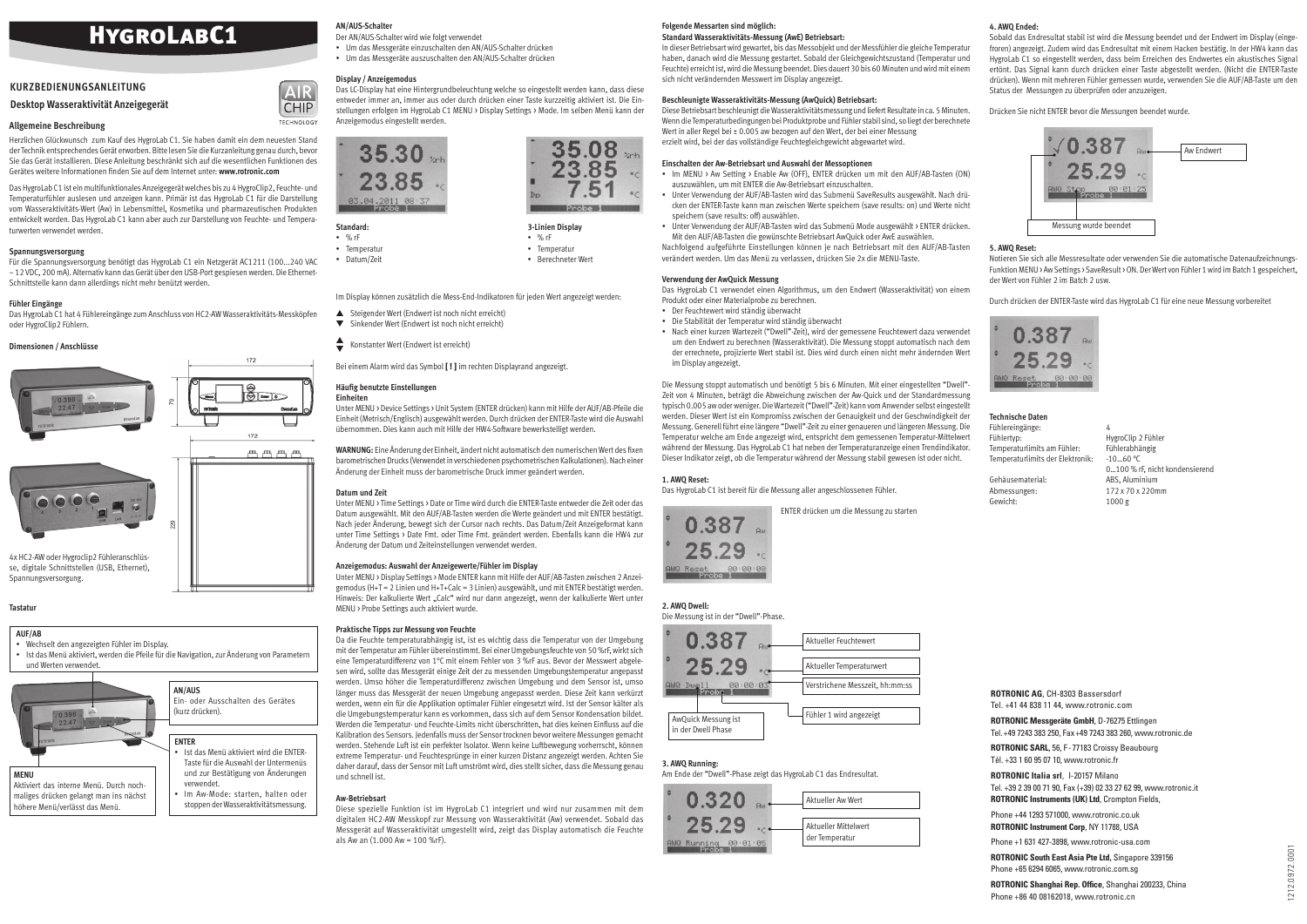## **4. AWQ Ended:**

HygroClip 2 Fühler 0…100 % rF, nicht kondensierend Abmessungen: 172 x 70 x 220mm

Sobald das Endresultat stabil ist wird die Messung beendet und der Endwert im Display (eingefroren) angezeigt. Zudem wird das Endresultat mit einem Hacken bestätig. In der HW4 kann das HygroLab C1 so eingestellt werden, dass beim Erreichen des Endwertes ein akustisches Signal ertönt. Das Signal kann durch drücken einer Taste abgestellt werden. (Nicht die ENTER-Taste drücken). Wenn mit mehreren Fühler gemessen wurde, verwenden Sie die AUF/AB-Taste um den Status der Messungen zu überprüfen oder anzuzeigen.

Drücken Sie nicht ENTER bevor die Messungen beendet wurde.

#### **5. AWQ Reset:**

Notieren Sie sich alle Messresultate oderverwenden Sie die automatische Datenaufzeichnungs-Funktion MENU > AwSettings > SaveResult> ON. DerWertvon Fühler 1 wird im Batch 1 gespeichert, der Wertvon Fühler 2 im Batch 2 usw.

Durch drücken der ENTER-Taste wird das HygroLab C1 für eine neue Messung vorbereitet



- Im MENU > Aw Setting > Enable Aw (OFF), ENTER drücken um mit den AUF/AB-Tasten (ON) auszuwählen, um mit ENTER die Aw-Betriebsart einzuschalten.
- • Unter Verwendung der AUF/AB-Tasten wird das Submenü SaveResults ausgewählt. Nach drücken der ENTER-Taste kann man zwischen Werte speichern (save results: on) und Werte nicht speichern (save results: off) auswählen.
- • Unter Verwendung der AUF/AB-Tasten wird das Submenü Mode ausgewählt > ENTER drücken. Mit den AUF/AB-Tasten die gewünschte Betriebsart AwQuick oder AwE auswählen.

**Technische Daten** Fühlereingänge: 4<br>Fühlertvo: H Temperaturlimits am Fühler: Fühlerabhängig Temperaturlimits der Elektronik: -10…60 °C

Gehäusematerial: ABS, Aluminium Gewicht: 1000 g

#### **Folgende Messarten sind möglich: Standard Wasseraktivitäts-Messung (AwE) Betriebsart:**

In dieser Betriebsart wird gewartet, bis das Messobjekt und der Messfühler die gleiche Temperatur haben, danach wird die Messung gestartet. Sobald der Gleichgewichtszustand (Temperatur und Feuchte) erreichtist,wird die Messung beendet. Dies dauert 30 bis 60 Minuten undwirdmit einem sich nicht verändernden Messwert im Display angezeigt.

## **Beschleunigte Wasseraktivitäts-Messung (AwQuick) Betriebsart:**

Diese Betriebsart beschleunigt dieWasseraktivitätsmessung und liefert Resultate in ca. 5Minuten. Wenn die Temperaturbedingungen bei Produktprobe und Fühler stabil sind, so liegt der berechnete Wert in aller Regel bei ± 0.005 aw bezogen auf den Wert, der bei einer Messung erzielt wird, bei der das vollständige Feuchtegleichgewicht abgewartet wird.

## **Einschalten der Aw-Betriebsart und Auswahl der Messoptionen**

Nachfolgend aufgeführte Einstellungen können je nach Betriebsart mit den AUF/AB-Tasten verändert werden. Um das Menü zu verlassen, drücken Sie 2x die MENU-Taste.

#### **Verwendung der AwQuick Messung**

Das HygroLab C1 verwendet einen Algorithmus, um den Endwert (Wasseraktivität) von einem Produkt oder einer Materialprobe zu berechnen.

Ist das Menü aktiviert wird die ENTER-Taste für die Auswahl der Untermenüs und zur Bestätigung von Änderungen

Im Aw-Mode: starten, halten oder stoppen der Wasseraktivitätsmessung.

- • Temperatur • Datum/Zeit
	-

- • DerFeuchtewert wird ständig überwacht
- • Die Stabilität der Temperatur wird ständig überwacht
- • Nach einer kurzen Wartezeit ("Dwell"-Zeit), wird der gemessene Feuchtewert dazu verwendet um den Endwert zu berechnen (Wasseraktivität). Die Messung stoppt automatisch nach dem der errechnete, projizierte Wert stabil ist. Dies wird durch einen nicht mehr ändernden Wert im Display angezeigt.

WARNUNG: Eine Änderung der Einheit, ändert nicht automatisch den numerischen Wert des fixen barometrischen Drucks (Verwendetin verschiedenen psychometrischen Kalkulationen).Nach einer Änderung der Einheit muss der barometrische Druck immer geändert werden.

Die Messung stoppt automatisch und benötigt 5 bis 6 Minuten. Mit einer eingestellten "Dwell"- Zeit von 4 Minuten, beträgt die Abweichung zwischen der Aw-Quick und der Standardmessung typisch 0.005 aw oderweniger. DieWartezeit ("Dwell"-Zeit) kann vom Anwender selbst eingestellt werden. Dieser Wert ist ein Kompromiss zwischen der Genauigkeit und der Geschwindigkeit der Messung. Generell führt eine längere "Dwell"-Zeitzu einer genaueren und längeren Messung. Die Temperatur welche am Ende angezeigt wird, entspricht dem gemessenen Temperatur-Mittelwert während der Messung. Das HygroLab C1 hat neben der Temperaturanzeige einen Trendindikator. Dieser Indikatorzeigt, ob die Temperatur während der Messung stabil gewesen ist oder nicht.

#### **1. AWQ Reset:**

Das HygroLab C1 ist bereit für die Messung aller angeschlossenen Fühler.



 ENTER drücken um die Messung zu starten

## **2. AWQ Dwell:**

Die Messung ist in der "Dwell"-Phase.

## **3. AWQ Running:**

Am Ende der "Dwell"-Phase zeigt das HygroLab C1 das Endresultat.

## **Desktop Wasseraktivität Anzeigegerät**

## **Allgemeine Beschreibung**

Herzlichen Glückwunsch zum Kauf des HygroLab C1. Sie haben damit ein dem neuesten Stand der Technik entsprechendesGerät erworben. Bitte lesen Sie die Kurzanleitung genau durch, bevor Sie das Gerät installieren. Diese Anleitung beschränkt sich auf die wesentlichen Funktionen des Gerätes weitere Informationen finden Sie auf dem Internet unter: **www.rotronic.com**

Das HygroLab C1 ist ein multifunktionales Anzeigegerätwelches bis zu 4 HygroClip2,Feuchte- und Temperaturfühler auslesen und anzeigen kann. Primär ist das HygroLab C1 für die Darstellung vom Wasseraktivitäts-Wert (Aw) in Lebensmittel, Kosmetika und pharmazeutischen Produkten entwickelt worden. Das HygroLab C1 kann aber auch zur Darstellung von Feuchte- und Temperaturwerten verwendet werden.

## **Spannungsversorgung**

Für die Spannungsversorgung benötigt das HygroLab C1 ein Netzgerät AC1211 (100...240 VAC – 12 VDC, 200 mA). Alternativ kann das Gerät über den USB-Port gespiesen werden. Die Ethernet-Schnittstelle kann dann allerdings nicht mehr benützt werden.

## **Fühler Eingänge**

Das HygroLab C1 hat 4 Fühlereingänge zum Anschluss von HC2-AW Wasseraktivitäts-Messköpfen oder HygroClip2 Fühlern.

## **Dimensionen / Anschlüsse**

# **HYGROLABC1**

## **Kurzbedienungsanleitung**





## **AN/AUS-Schalter**

Der AN/AUS-Schalter wird wie folgt verwendet

- • Um das Messgeräte einzuschalten den AN/AUS-Schalter drücken
- • Um das Messgeräte auszuschalten den AN/AUS-Schalter drücken

## **Display / Anzeigemodus**

**CHIP TECHNOLOGY**  Das LC-Display hat eine Hintergrundbeleuchtung welche so eingestellt werden kann, dass diese entweder immer an, immer aus oder durch drücken einer Taste kurzzeitig aktiviert ist. Die Einstellungen erfolgen im HygroLab C1 MENU > Display Settings > Mode. Im selben Menü kann der Anzeigemodus eingestellt werden.





## **Tastatur**

- **AUF/AB**
- • Wechselt den angezeigten Fühler im Display.
- Ist das Menü aktiviert, werden die Pfeile für die Navigation, zur Änderung von Parametern und Werten verwendet.

verwendet.



## **MENU**

Aktiviert das interne Menü. Durch nochmaliges drücken gelangt man ins nächst höhere Menü/verlässt das Menü.

### **Standard:**

| $\%$ rr |  |
|---------|--|
|         |  |





- • Temperatur • Berechneter Wert
- 

Im Display können zusätzlich die Mess-End-Indikatoren für jeden Wert angezeigt werden:

Bei einem Alarm wird das Symbol [ ! ] im rechten Displayrand angezeigt.

#### **Häufig benutzte Einstellungen Einheiten**

Unter MENU > Device Settings > Unit System (ENTER drücken) kann mit Hilfe der AUF/AB-Pfeile die Einheit (Metrisch/Englisch) ausgewählt werden. Durch drücken der ENTER-Taste wird die Auswahl übernommen. Dies kann auch mit Hilfe der HW4-Software bewerkstelligt werden.

## **Datum und Zeit**

Unter MENU > Time Settings > Date or Time wird durch die ENTER-Taste entweder die Zeit oder das Datum ausgewählt. Mit den AUF/AB-Tasten werden die Werte geändert und mit ENTER bestätigt. Nach jeder Änderung, bewegt sich der Cursor nach rechts. Das Datum/Zeit Anzeigeformat kann unter Time Settings > Date Fmt. oder Time Fmt. geändert werden. Ebenfalls kann die HW4 zur Änderung der Datum und Zeiteinstellungen verwendet werden.

#### **Anzeigemodus: Auswahl der Anzeigewerte/Fühler im Display**

Unter MENU > Display Settings > Mode ENTER kann mit Hilfe der AUF/AB-Tasten zwischen 2 Anzeigemodus (H+T = 2 Linien und H+T+Calc = 3 Linien) ausgewählt, und mit ENTER bestätigt werden. Hinweis: Der kalkulierte Wert "Calc" wird nur dann angezeigt, wenn der kalkulierte Wert unter MENU > Probe Settings auch aktiviert wurde.

- ▲ Steigender Wert (Endwert ist noch nicht erreicht)
- ▼ Sinkender Wert (Endwert ist noch nicht erreicht)
- Konstanter Wert (Endwert ist erreicht) ▲ ▼

## **Praktische Tipps zur Messung von Feuchte**

Da die Feuchte temperaturabhängig ist, ist es wichtig dass die Temperatur von der Umgebung mit der Temperatur am Fühler übereinstimmt. Bei einer Umgebungsfeuchte von 50 %rF, wirkt sich eine Temperaturdifferenz von 1°C mit einem Fehler von 3 %rF aus. Bevor der Messwert abgelesen wird, sollte das Messgerät einige Zeit der zu messenden Umgebungstemperatur angepasst werden. Umso höher die Temperaturdifferenz zwischen Umgebung und dem Sensor ist, umso länger muss das Messgerät der neuen Umgebung angepasst werden. Diese Zeit kann verkürzt werden, wenn ein für die Applikation optimaler Fühler eingesetzt wird. Ist der Sensor kälter als die Umgebungstemperatur kann es vorkommen, dass sich auf dem Sensor Kondensation bildet. Werden die Temperatur- und Feuchte-Limits nicht überschritten, hat dies keinen Einfluss auf die Kalibration des Sensors. Jedenfalls muss der Sensor trocknen bevor weitere Messungen gemacht werden. Stehende Luft ist ein perfekter Isolator. Wenn keine Luftbewegung vorherrscht, können extreme Temperatur- und Feuchtesprünge in einer kurzen Distanz angezeigt werden. Achten Sie daher darauf, dass der Sensor mit Luft umströmt wird, dies stellt sicher, dass die Messung genau und schnell ist.

## **Aw-Betriebsart**

Diese spezielle Funktion ist im HygroLab C1 integriert und wird nur zusammen mit dem digitalen HC2-AW Messkopf zur Messung von Wasseraktivität (Aw) verwendet. Sobald das Messgerät auf Wasseraktivität umgestellt wird, zeigt das Display automatisch die Feuchte als Aw an (1.000 Aw = 100 %rF).



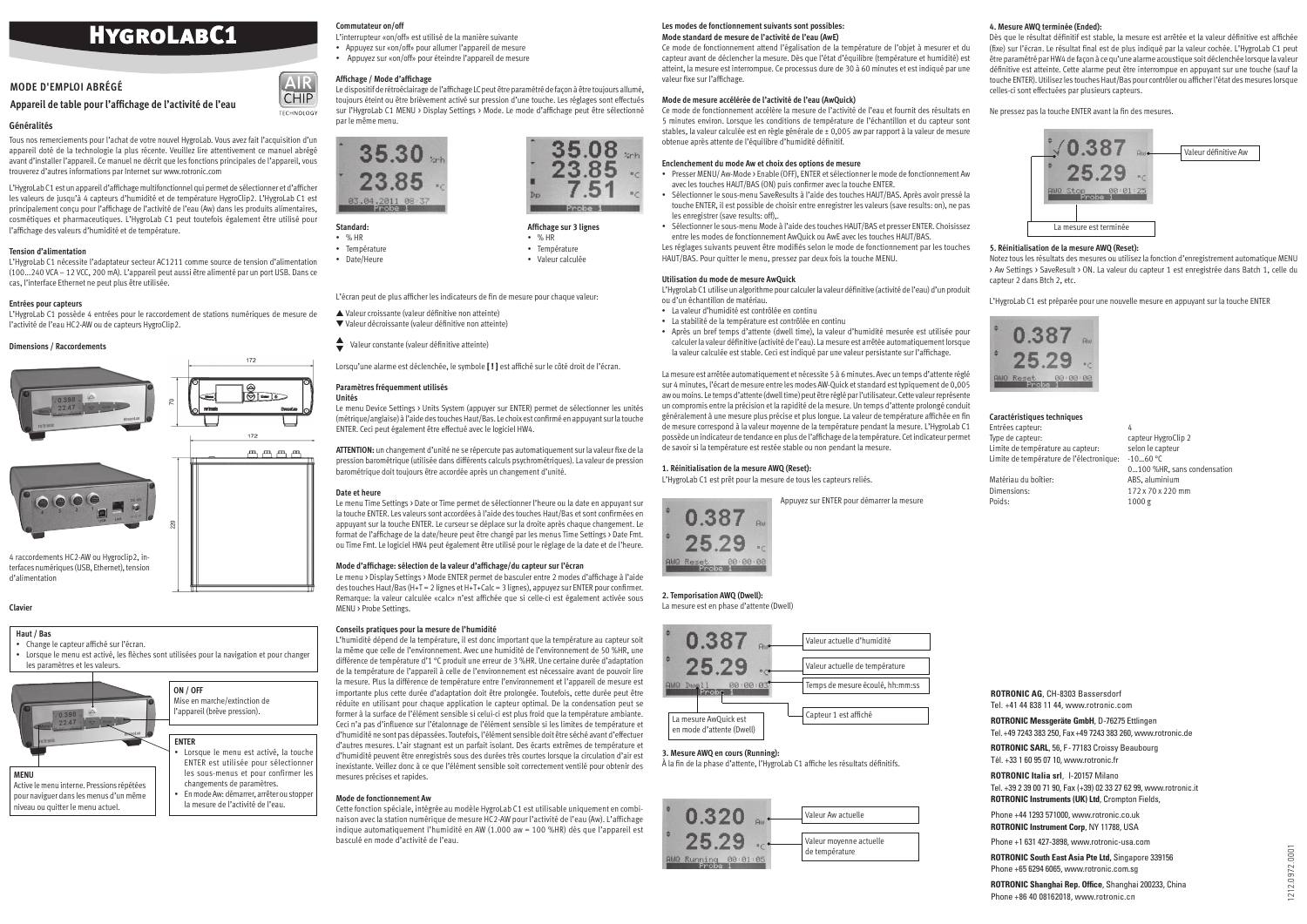Notez tous les résultats des mesures ou utilisez la fonction d'enregistrement automatique MENU > Aw Settings > SaveResult > ON. La valeur du capteur 1 est enregistrée dans Batch 1, celle du capteur 2 dans Btch 2, etc.

Entrées capteur: Type de capteur: capteur HygroClip 2 Limite de température au capteur: selon le capteur Limite de température de l'électronique: -10…60 °C

Matériau du boîtier: ABS, aluminium Dimensions: 172 x 70 x 220 mm Poids: 1000 g

Dès que le résultat définitif est stable, la mesure est arrêtée et la valeur définitive est affichée (fixe) sur l'écran. Le résultat final est de plus indiqué par la valeur cochée. L'HygroLab C1 peut être paramétré par HW4 de façon à ce qu'une alarme acoustique soit déclenchée lorsque la valeur définitive est atteinte. Cette alarme peut être interrompue en appuyant sur une touche (sauf la touche ENTER). Utilisez les touches Haut/Bas pour contrôler ou afficher l'état des mesures lorsque celles-ci sont effectuées par plusieurs capteurs.

Ne pressez pas la touche ENTER avant la fin des mesures.

## **5. Réinitialisation de la mesure AWQ (Reset):**

L'HygroLab C1 est préparée pour une nouvelle mesure en appuyant sur la touche ENTER



## **Caractéristiques techniques**

L'HygroLab C1 utilise un algorithme pour calculer la valeur définitive (activité de l'eau) d'un produit ou d'un échantillon de matériau.

- La valeur d'humidité est contrôlée en continu
- La stabilité de la température est contrôlée en continu
- • Après un bref temps d'attente (dwell time), la valeur d'humidité mesurée est utilisée pour calculer la valeur définitive (activité de l'eau).La mesure est arrêtée automatiquement lorsque la valeur calculée est stable. Ceci est indiqué par une valeur persistante sur l'affichage.

0…100 %HR, sans condensation

## **Les modes de fonctionnement suivants sont possibles: Mode standard de mesure de l'activité de l'eau (AwE)**

Ce mode de fonctionnement attend l'égalisation de la température de l'objet à mesurer et du capteur avant de déclencher la mesure. Dès que l'état d'équilibre (température et humidité) est atteint, la mesure est interrompue. Ce processus dure de 30 à 60 minutes et est indiqué par une valeur fixe sur l'affichage.

## **Mode de mesure accélérée de l'activité de l'eau (AwQuick)**

Ce mode de fonctionnement accélère la mesure de l'activité de l'eau et fournit des résultats en 5 minutes environ. Lorsque les conditions de température de l'échantillon et du capteur sont stables, la valeur calculée est en règle générale de ± 0,005 aw par rapport à la valeur de mesure obtenue après attente de l'équilibre d'humidité définitif.

## **Enclenchement du mode Aw et choix des options de mesure**

- • Presser MENU/ Aw-Mode > Enable (OFF), ENTER et sélectionner le mode de fonctionnement Aw avecles touches HAUT/BAS (ON) puis confirmer avecla touche ENTER.
- • Sélectionner le sous-menu SaveResults à l'aide des touches HAUT/BAS. Après avoir pressé la touche ENTER, il est possible de choisir entre enregistrer les valeurs (save results: on), ne pas les enregistrer (save results: off),.
- • Sélectionner le sous-menu Mode à l'aide des touches HAUT/BAS et presser ENTER. Choisissez entre les modes de fonctionnement AwQuick ou AwE avecles touches HAUT/BAS.

Les réglages suivants peuvent être modifiés selon le mode de fonctionnement par les touches HAUT/BAS. Pour quitter le menu, pressez par deux fois la touche MENU.

## **Utilisation du mode de mesure AwQuick**

Lorsque le menu est activé, la touche ENTER est utilisée pour sélectionner les sous-menus et pour confirmer les changements de paramètres. En mode Aw: démarrer, arrêter ou stopper la mesure de l'activité de l'eau.

• Température • Date/Heure

> La mesure est arrêtée automatiquement et nécessite 5 à 6 minutes. Avec un temps d'attente réglé sur 4 minutes, l'écart de mesure entre les modes AW-Quick et standard est typiquement de 0,005 aw ou moins. Le temps d'attente (dwell time) peut être réglé par l'utilisateur. Cette valeur représente un compromis entre la précision et la rapidité de la mesure. Un temps d'attente prolongé conduit généralement à une mesure plus précise et plus longue.La valeur de température affichée en fin de mesure correspond à la valeur moyenne de la température pendant la mesure.L'HygroLab C1 possède un indicateur de tendance en plus de l'affichage de la température. Cetindicateur permet de savoir si la température est restée stable ou non pendant la mesure.

L'humidité dépend de la température, il est doncimportant que la température au capteur soit la même que celle de l'environnement. Avec une humidité de l'environnement de 50 %HR, une différence de température d'1 °C produit une erreur de 3 %HR. Une certaine durée d'adaptation de la température de l'appareil à celle de l'environnement est nécessaire avant de pouvoir lire la mesure. Plus la différence de température entre l'environnement et l'appareil de mesure est importante plus cette durée d'adaptation doit être prolongée. Toutefois, cette durée peut être réduite en utilisant pour chaque application le capteur optimal. De la condensation peut se former à la surface de l'élément sensible si celui-ci est plus froid que la température ambiante. Ceci n'a pas d'influence sur l'étalonnage de l'élément sensible si les limites de température et d'humidité ne sont pas dépassées. Toutefois, l'élément sensible doit être séché avant d'effectuer d'autres mesures. L'air stagnant est un parfait isolant. Des écarts extrêmes de température et d'humidité peuvent être enregistrés sous des durées très courtes lorsque la circulation d'air est inexistante. Veillez donc à ce que l'élément sensible soit correctement ventilé pour obtenir des mesures précises et rapides.

## **1. Réinitialisation de la mesure AWQ (Reset):**

L'HygroLab C1 est prêt pour la mesure de tous les capteurs reliés.





**2. Temporisation AWQ (Dwell):**

La mesure est en phase d'attente (Dwell)

## **3. Mesure AWQ en cours (Running):**

À la fin de la phase d'attente, l'HygroLab C1 affiche les résultats définitifs.

## **Appareil de table pour l'affichage de l'activité de l'eau**

## **Généralités**

Tous nos remerciements pour l'achat de votre nouvel HygroLab. Vous avez fait l'acquisition d'un appareil doté de la technologie la plus récente. Veuillez lire attentivement ce manuel abrégé avant d'installer l'appareil. Ce manuel ne décrit que les fonctions principales de l'appareil, vous trouverez d'autres informations par Internet sur www.rotronic.com

- L'écran peut de plus afficher les indicateurs de fin de mesure pour chaque valeur:
- ▲ Valeurcroissante (valeur définitive non atteinte)
- ▼ Valeur décroissante (valeur définitive non atteinte)
- Valeur constante (valeur définitive atteinte) ▲ ▼

Lorsqu'une alarme est déclenchée, le symbole [!] est affiché sur le côté droit de l'écran.

L'HygroLab C1 est un appareil d'affichage multifonctionnel qui permet de sélectionner et d'afficher les valeurs de jusqu'à 4 capteurs d'humidité et de température HygroClip2. L'HygroLab C1 est principalement conçu pour l'affichage de l'activité de l'eau (Aw) dans les produits alimentaires, cosmétiques et pharmaceutiques. L'HygroLab C1 peut toutefois également être utilisé pour l'affichage des valeurs d'humidité et de température.

## **Tension d'alimentation**

L'HygroLab C1 nécessite l'adaptateur secteur AC1211 comme source de tension d'alimentation (100...240 VCA – 12 VCC, 200 mA).L'appareil peut aussi être alimenté par un port USB. Dans ce cas, l'interface Ethernet ne peut plus être utilisée.

## **Entrées pour capteurs**

L'HygroLab C1 possède 4 entrées pour le raccordement de stations numériques de mesure de l'activité de l'eau HC2-AW ou de capteurs HygroClip2.

## **Dimensions / Raccordements**

# Commutateur on/off Commutateur on/off est utilisé de la manière suivante<br>
4. Mesure AWQ terminée (Ended):<br>
4. Annual L'interrupteur «on/off» est utilisé de la manière suivante<br>
4. Annual L'interrupteur «on/off» pour allume

## **Mode d'emploi abrégé**









## **Commutateur on/off**

L'interrupteur «on/off» est utilisé de la manière suivante

- • Appuyez sur «on/off» pour allumer l'appareil de mesure
- • Appuyez sur «on/off» pour éteindre l'appareil de mesure

## **Affichage / Mode d'affichage**

Le dispositif de rétroéclairage de l'affichage LCpeut être paramétré de façon à être toujours allumé, toujours éteint ou être brièvement activé sur pression d'une touche. Les réglages sont effectués sur l'HygroLab C1 MENU > Display Settings > Mode. Le mode d'affichage peut être sélectionné par le même menu.





## **Clavier**

**Haut / Bas** 

- • Change le capteur affiché sur l'écran.
- • Lorsque le menu est activé, les flèches sont utilisées pour la navigation et pour changer les paramètres et les valeurs.



## **MENU**

Active lemenu interne. Pressions répétées pour naviguer dans les menus d'un même niveau ou quitter le menu actuel.

Mise en marche/extinction de l'appareil (brève pression).

## **Standard:**

**CHIP TECHNOLOGY** 

 $\bullet$  % HR

**Affichage sur 3 lignes**

 $\cdot$  % HR • Température • Valeur calculée

#### **Paramètres fréquemment utilisés Unités**

Le menu Device Settings > Units System (appuyer sur ENTER) permet de sélectionner les unités (métrique/anglaise) à l'aide des touches Haut/Bas. Le choix est confirmé en appuyant sur la touche ENTER. Ceci peut également être effectué avecle logiciel HW4.

**ATTENTION:** un changement d'unité ne se répercute pas automatiquement sur la valeur fixe de la pression barométrique (utilisée dans différents calculs psychrométriques).La valeur de pression barométrique doit toujours être accordée après un changement d'unité.

## **Date et heure**

Le menu Time Settings > Date or Time permet de sélectionner l'heure ou la date en appuyant sur la touche ENTER.Les valeurs sont accordées à l'aide des touches Haut/Bas et sontconfirmées en appuyant sur la touche ENTER. Le curseur se déplace sur la droite après chaque changement. Le format de l'affichage de la date/heure peut être changé par les menus Time Settings > Date Fmt. ou Time Fmt.Le logiciel HW4 peut également être utilisé pour le réglage de la date et de l'heure.

## **Mode d'affichage: sélection de la valeur d'affichage/du capteur sur l'écran**

Le menu > Display Settings > Mode ENTER permet de basculer entre 2 modes d'affichage à l'aide des touches Haut/Bas (H+T = 2 lignes et H+T+Calc = 3 lignes), appuyez sur ENTER pourconfirmer. Remarque: la valeur calculée «calc» n'est affichée que si celle-ci est également activée sous MENU > Probe Settings.

## **Conseils pratiques pour la mesure de l'humidité**

## **Mode de fonctionnement Aw**

Cette fonction spéciale, intégrée au modèle HygroLab C1 est utilisable uniquement en combinaison avecla station numérique de mesure HC2-AW pour l'activité de l'eau (Aw).L'affichage indique automatiquement l'humidité en AW (1.000 aw = 100 %HR) dès que l'appareil est basculé en mode d'activité de l'eau.